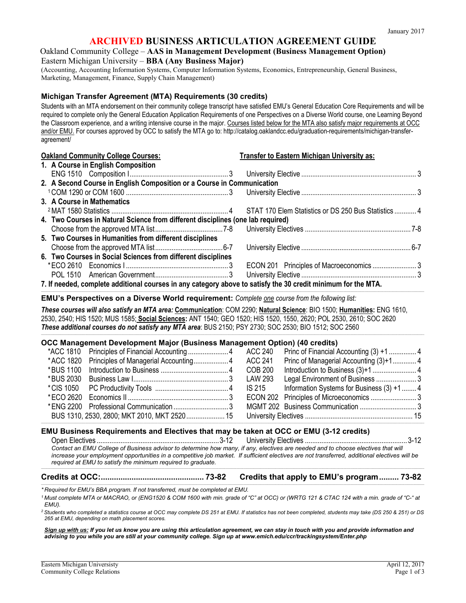# **ARCHIVED BUSINESS ARTICULATION AGREEMENT GUIDE**

#### Oakland Community College – **AAS in Management Development (Business Management Option)** Eastern Michigan University – **BBA (Any Business Major)**

(Accounting, Accounting Information Systems, Computer Information Systems, Economics, Entrepreneurship, General Business, Marketing, Management, Finance, Supply Chain Management)

#### **Michigan Transfer Agreement (MTA) Requirements (30 credits)**

Students with an MTA endorsement on their community college transcript have satisfied EMU's General Education Core Requirements and will be required to complete only the General Education Application Requirements of one Perspectives on a Diverse World course, one Learning Beyond the Classroom experience, and a writing intensive course in the major. Courses listed below for the MTA also satisfy major requirements at OCC and/or EMU. For courses approved by OCC to satisfy the MTA go to: [http://catalog.oaklandcc.edu/graduation-requirements/michigan-transfer](http://catalog.oaklandcc.edu/graduation-requirements/michigan-transfer-agreement/)[agreement/](http://catalog.oaklandcc.edu/graduation-requirements/michigan-transfer-agreement/)

| <b>Oakland Community College Courses:</b>                                                                     | <b>Transfer to Eastern Michigan University as:</b> |  |  |  |
|---------------------------------------------------------------------------------------------------------------|----------------------------------------------------|--|--|--|
| 1. A Course in English Composition                                                                            |                                                    |  |  |  |
|                                                                                                               |                                                    |  |  |  |
| 2. A Second Course in English Composition or a Course in Communication                                        |                                                    |  |  |  |
|                                                                                                               |                                                    |  |  |  |
| 3. A Course in Mathematics                                                                                    |                                                    |  |  |  |
|                                                                                                               |                                                    |  |  |  |
| 4. Two Courses in Natural Science from different disciplines (one lab required)                               |                                                    |  |  |  |
|                                                                                                               |                                                    |  |  |  |
| 5. Two Courses in Humanities from different disciplines                                                       |                                                    |  |  |  |
|                                                                                                               |                                                    |  |  |  |
| 6. Two Courses in Social Sciences from different disciplines                                                  |                                                    |  |  |  |
|                                                                                                               |                                                    |  |  |  |
|                                                                                                               |                                                    |  |  |  |
| 7. If needed, complete additional courses in any category above to satisfy the 30 credit minimum for the MTA. |                                                    |  |  |  |

**EMU's Perspectives on a Diverse World requirement:** *Complete one course from the following list:*

*These courses will also satisfy an MTA area:* **Communication**: COM 2290; **Natural Science**: BIO 1500; **Humanities:** ENG 1610, 2530, 2540; HIS 1520; MUS 1585; **Social Sciences:** ANT 1540; GEO 1520; HIS 1520, 1550, 2620; POL 2530, 2610; SOC 2620 *These additional courses do not satisfy any MTA area*: BUS 2150; PSY 2730; SOC 2530; BIO 1512; SOC 2560

,我们也不能在这里的时候,我们也不能在这里的时候,我们也不能在这里的时候,我们也不能会在这里,我们也不能会在这里的时候,我们也不能会在这里的时候,我们也不能会在这

\_\_\_\_\_\_\_\_\_\_\_\_\_\_\_\_\_\_\_\_\_\_\_\_\_\_\_\_\_\_\_\_\_\_\_\_\_\_\_\_\_\_\_\_\_\_\_\_\_\_\_\_\_\_\_\_\_\_\_\_\_\_\_\_\_\_\_\_\_\_\_\_\_\_\_\_\_\_\_\_\_\_\_\_\_\_\_\_\_\_\_\_\_\_\_\_\_\_\_\_\_\_\_\_\_\_\_\_\_\_\_\_\_\_\_\_\_\_\_\_\_\_\_\_\_\_\_\_\_\_\_\_\_\_\_\_\_\_\_\_\_\_\_\_\_\_\_\_\_\_\_\_\_\_\_\_\_\_\_\_\_\_\_\_\_\_\_\_\_\_\_\_\_\_\_\_\_\_\_\_\_\_\_\_\_\_\_\_\_\_\_\_\_\_\_\_\_\_\_\_\_\_\_\_\_\_\_\_\_\_\_\_\_\_\_\_\_\_\_\_\_\_\_\_\_\_\_\_\_\_\_\_\_\_\_\_\_\_\_\_\_\_\_\_\_\_\_\_\_\_\_\_\_\_\_\_\_\_\_\_\_\_\_\_\_\_\_\_\_\_\_\_\_\_\_\_

#### **OCC Management Development Major (Business Management Option) (40 credits)**

|  | *ACC 1810 Principles of Financial Accounting 4 ACC 240 Princ of Financial Accounting (3) +1  4 |  |                                 |  |
|--|------------------------------------------------------------------------------------------------|--|---------------------------------|--|
|  | *ACC 1820 Principles of Managerial Accounting 4 ACC 241 Princ of Managerial Accounting (3)+1 4 |  |                                 |  |
|  |                                                                                                |  |                                 |  |
|  |                                                                                                |  | Legal Environment of Business 3 |  |
|  |                                                                                                |  |                                 |  |
|  |                                                                                                |  |                                 |  |
|  |                                                                                                |  |                                 |  |
|  |                                                                                                |  |                                 |  |
|  |                                                                                                |  |                                 |  |

,我们也不能在这里的时候,我们也不能在这里的时候,我们也不能会在这里,我们也不能会在这里,我们也不能会在这里,我们也不能会在这里,我们也不能会不能会不能会不能会

#### **EMU Business Requirements and Electives that may be taken at OCC or EMU (3-12 credits)** Open Electives ...................................................................3-12 University Electives ........................................................ 3-12

Contact an EMU College of Business advisor to determine how many, if any, electives are needed and to choose electives that will *increase your employment opportunities in a competitive job market. If sufficient electives are not transferred, additional electives will be required at EMU to satisfy the minimum required to graduate.* ,我们也不能会在这里,我们也不能会在这里,我们也不能会在这里,我们也不能会在这里,我们也不能会在这里,我们也不能会不能会不能会。""我们,我们也不能会不能会不能

# **Credits at OCC:............................................... 73-82 Credits that apply to EMU's program......... 73-82**

*\* Required for EMU's BBA program. If not transferred, must be completed at EMU.*

\_\_\_\_\_\_\_\_\_\_\_\_\_\_\_\_\_\_\_\_\_\_\_\_\_\_\_\_\_\_\_\_\_\_\_\_\_\_\_\_\_\_\_\_\_\_\_\_\_\_\_\_\_\_\_\_\_\_\_\_\_\_\_\_\_\_\_\_\_\_\_\_\_\_\_\_\_\_\_\_\_\_\_\_\_\_\_\_\_\_\_\_\_\_\_\_\_\_\_\_\_\_\_\_\_\_\_\_\_\_\_\_\_\_\_\_\_\_\_\_\_\_\_\_\_\_\_\_\_\_\_\_\_\_\_\_\_\_\_\_\_\_\_\_\_\_\_\_\_\_\_\_\_\_\_\_\_\_\_\_\_\_\_\_\_\_\_\_\_\_\_\_\_\_\_\_\_\_\_\_\_\_\_\_\_\_\_\_\_\_\_\_\_\_\_\_\_\_\_\_\_\_\_\_\_\_\_\_\_\_\_\_\_\_\_\_\_\_\_\_\_\_\_\_\_\_\_\_\_\_\_\_\_\_\_\_\_\_\_\_\_\_\_\_\_\_\_\_\_\_\_\_\_\_\_\_\_\_\_\_\_\_\_\_\_\_\_\_\_\_\_\_\_\_\_\_

*2 Students who completed a statistics course at OCC may complete DS 251 at EMU. If statistics has not been completed, students may take (DS 250 & 251) or DS 265 at EMU, depending on math placement scores.*

*Sign up with us: If you let us know you are using this articulation agreement, we can stay in touch with you and provide information and advising to you while you are still at your community college. Sign up at [www.emich.edu/ccr/trackingsystem/Enter.php](http://www.emich.edu/ccr/trackingsystem/Enter.php)*

*<sup>1</sup> Must complete MTA or MACRAO, or (ENG1520 & COM 1600 with min. grade of "C" at OCC) or (WRTG 121 & CTAC 124 with a min. grade of "C-" at EMU).*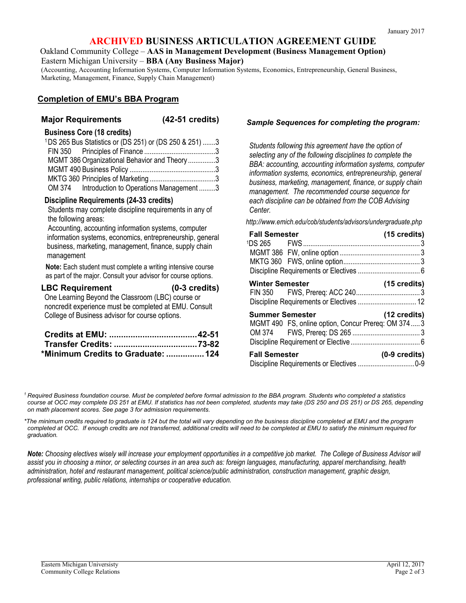# **ARCHIVED BUSINESS ARTICULATION AGREEMENT GUIDE**

Oakland Community College – **AAS in Management Development (Business Management Option)** Eastern Michigan University – **BBA (Any Business Major)**

(Accounting, Accounting Information Systems, Computer Information Systems, Economics, Entrepreneurship, General Business, Marketing, Management, Finance, Supply Chain Management)

# **Completion of EMU's BBA Program**

### **Major Requirements (42-51 credits)**

### **Business Core (18 credits)**

| <sup>1</sup> DS 265 Bus Statistics or (DS 251) or (DS 250 & 251) 3 |  |
|--------------------------------------------------------------------|--|
|                                                                    |  |
| MGMT 386 Organizational Behavior and Theory 3                      |  |
|                                                                    |  |
|                                                                    |  |
| OM 374 Introduction to Operations Management 3                     |  |

#### **Discipline Requirements (24-33 credits)**

Students may complete discipline requirements in any of the following areas:

Accounting, accounting information systems, computer information systems, economics, entrepreneurship, general business, marketing, management, finance, supply chain management

**Note:** Each student must complete a writing intensive course as part of the major. Consult your advisor for course options.

# **LBC Requirement (0-3 credits)**

One Learning Beyond the Classroom (LBC) course or noncredit experience must be completed at EMU. Consult College of Business advisor for course options.

| *Minimum Credits to Graduate:  124 |  |
|------------------------------------|--|

### *Sample Sequences for completing the program:*

*Students following this agreement have the option of selecting any of the following disciplines to complete the BBA: accounting, accounting information systems, computer information systems, economics, entrepreneurship, general business, marketing, management, finance, or supply chain management. The recommended course sequence for each discipline can be obtained from the COB Advising Center.*

*<http://www.emich.edu/cob/students/advisors/undergraduate.php>*

| <b>Fall Semester</b>                                                         | $(15 \text{ credits})$  |
|------------------------------------------------------------------------------|-------------------------|
|                                                                              |                         |
|                                                                              |                         |
| <b>Winter Semester</b>                                                       | $(15 \text{ credits})$  |
| <b>Summer Semester</b><br>MGMT 490 FS, online option, Concur Prereq: OM 3743 | $(12 \text{ credits})$  |
| <b>Fall Semester</b>                                                         | $(0-9 \text{ credits})$ |

*<sup>1</sup> Required Business foundation course. Must be completed before formal admission to the BBA program. Students who completed a statistics course at OCC may complete DS 251 at EMU. If statistics has not been completed, students may take (DS 250 and DS 251) or DS 265, depending on math placement scores. See page 3 for admission requirements.*

*\*The minimum credits required to graduate is 124 but the total will vary depending on the business discipline completed at EMU and the program completed at OCC. If enough credits are not transferred, additional credits will need to be completed at EMU to satisfy the minimum required for graduation.* 

*Note: Choosing electives wisely will increase your employment opportunities in a competitive job market. The College of Business Advisor will assist you in choosing a minor, or selecting courses in an area such as: foreign languages, manufacturing, apparel merchandising, health administration, hotel and restaurant management, political science/public administration, construction management, graphic design, professional writing, public relations, internships or cooperative education.*